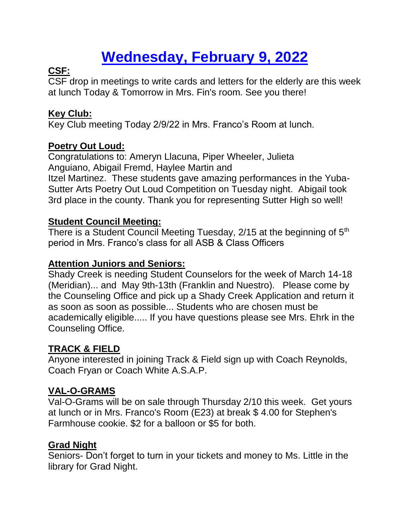# **Wednesday, February 9, 2022**

# **CSF:**

CSF drop in meetings to write cards and letters for the elderly are this week at lunch Today & Tomorrow in Mrs. Fin's room. See you there!

# **Key Club:**

Key Club meeting Today 2/9/22 in Mrs. Franco's Room at lunch.

# **Poetry Out Loud:**

Congratulations to: Ameryn Llacuna, Piper Wheeler, Julieta Anguiano, Abigail Fremd, Haylee Martin and Itzel Martinez. These students gave amazing performances in the Yuba-Sutter Arts Poetry Out Loud Competition on Tuesday night. Abigail took 3rd place in the county. Thank you for representing Sutter High so well!

#### **Student Council Meeting:**

There is a Student Council Meeting Tuesday, 2/15 at the beginning of 5<sup>th</sup> period in Mrs. Franco's class for all ASB & Class Officers

### **Attention Juniors and Seniors:**

Shady Creek is needing Student Counselors for the week of March 14-18 (Meridian)... and May 9th-13th (Franklin and Nuestro). Please come by the Counseling Office and pick up a Shady Creek Application and return it as soon as soon as possible... Students who are chosen must be academically eligible..... If you have questions please see Mrs. Ehrk in the Counseling Office.

# **TRACK & FIELD**

Anyone interested in joining Track & Field sign up with Coach Reynolds, Coach Fryan or Coach White A.S.A.P.

# **VAL-O-GRAMS**

Val-O-Grams will be on sale through Thursday 2/10 this week. Get yours at lunch or in Mrs. Franco's Room (E23) at break \$ 4.00 for Stephen's Farmhouse cookie. \$2 for a balloon or \$5 for both.

# **Grad Night**

Seniors- Don't forget to turn in your tickets and money to Ms. Little in the library for Grad Night.